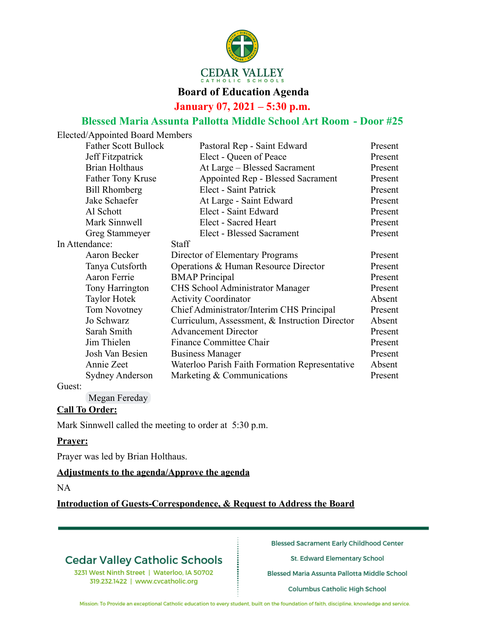

### **Board of Education Agenda**

**January 07, 2021 – 5:30 p.m.**

## **Blessed Maria Assunta Pallotta Middle School Art Room - Door #25**

| Pastoral Rep - Saint Edward                    | Present |
|------------------------------------------------|---------|
| Elect - Queen of Peace                         | Present |
| At Large - Blessed Sacrament                   | Present |
| Appointed Rep - Blessed Sacrament              | Present |
| Elect - Saint Patrick                          | Present |
| At Large - Saint Edward                        | Present |
| Elect - Saint Edward                           | Present |
| Elect - Sacred Heart                           | Present |
| <b>Elect - Blessed Sacrament</b>               | Present |
| <b>Staff</b>                                   |         |
| Director of Elementary Programs                | Present |
| Operations & Human Resource Director           | Present |
| <b>BMAP</b> Principal                          | Present |
| CHS School Administrator Manager               | Present |
| <b>Activity Coordinator</b>                    | Absent  |
| Chief Administrator/Interim CHS Principal      | Present |
| Curriculum, Assessment, & Instruction Director | Absent  |
| <b>Advancement Director</b>                    | Present |
| <b>Finance Committee Chair</b>                 | Present |
| <b>Business Manager</b>                        | Present |
| Waterloo Parish Faith Formation Representative | Absent  |
|                                                |         |
|                                                |         |

#### Guest:

Megan Fereday

#### **Call To Order:**

Mark Sinnwell called the meeting to order at 5:30 p.m.

#### **Prayer:**

Prayer was led by Brian Holthaus.

#### **Adjustments to the agenda/Approve the agenda**

NA

**Introduction of Guests-Correspondence, & Request to Address the Board**

# **Cedar Valley Catholic Schools**

3231 West Ninth Street | Waterloo, IA 50702 319.232.1422 | www.cvcatholic.org

**Blessed Sacrament Early Childhood Center** 

St. Edward Elementary School

Blessed Maria Assunta Pallotta Middle School

Columbus Catholic High School

Mission: To Provide an exceptional Catholic education to every student, built on the foundation of faith, discipline, knowledge and service.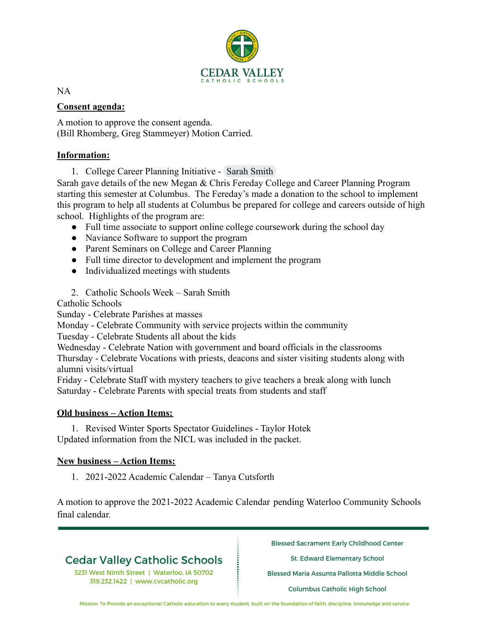

NA

### **Consent agenda:**

A motion to approve the consent agenda. (Bill Rhomberg, Greg Stammeyer) Motion Carried.

#### **Information:**

1. College Career Planning Initiative - Sarah Smith

Sarah gave details of the new Megan & Chris Fereday College and Career Planning Program starting this semester at Columbus. The Fereday's made a donation to the school to implement this program to help all students at Columbus be prepared for college and careers outside of high school. Highlights of the program are:

- Full time associate to support online college coursework during the school day
- Naviance Software to support the program
- Parent Seminars on College and Career Planning
- Full time director to development and implement the program
- Individualized meetings with students
- 2. Catholic Schools Week Sarah Smith

Catholic Schools

Sunday - Celebrate Parishes at masses

Monday - Celebrate Community with service projects within the community

Tuesday - Celebrate Students all about the kids

Wednesday - Celebrate Nation with government and board officials in the classrooms Thursday - Celebrate Vocations with priests, deacons and sister visiting students along with alumni visits/virtual

Friday - Celebrate Staff with mystery teachers to give teachers a break along with lunch Saturday - Celebrate Parents with special treats from students and staff

### **Old business – Action Items:**

1. Revised Winter Sports Spectator Guidelines - Taylor Hotek Updated information from the NICL was included in the packet.

### **New business – Action Items:**

1. 2021-2022 Academic Calendar – Tanya Cutsforth

A motion to approve the 2021-2022 Academic Calendar pending Waterloo Community Schools final calendar.

# **Cedar Valley Catholic Schools**

3231 West Ninth Street | Waterloo, IA 50702 319.232.1422 | www.cvcatholic.org

**Blessed Sacrament Early Childhood Center** 

St. Edward Elementary School

Blessed Maria Assunta Pallotta Middle School

Columbus Catholic High School

Mission: To Provide an exceptional Catholic education to every student, built on the foundation of faith, discipline, knowledge and service.